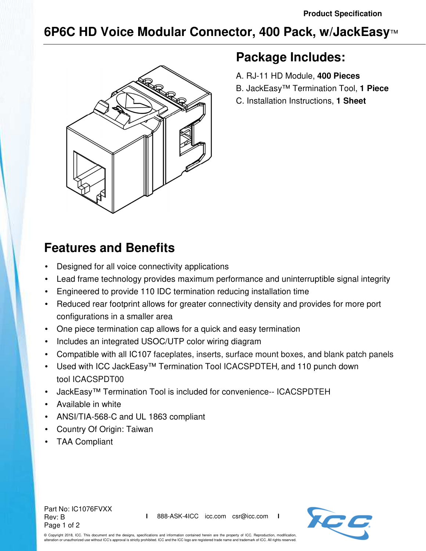## **6P6C HD Voice Modular Connector, 400 Pack, w/JackEasy**™



### **Package Includes:**

- A. RJ-11 HD Module, **400 Pieces**
- B. JackEasy™ Termination Tool, **1 Piece**
- C. Installation Instructions, **1 Sheet**

# **Features and Benefits**

- Designed for all voice connectivity applications
- Lead frame technology provides maximum performance and uninterruptible signal integrity
- Engineered to provide 110 IDC termination reducing installation time
- Reduced rear footprint allows for greater connectivity density and provides for more port configurations in a smaller area
- One piece termination cap allows for a quick and easy termination
- Includes an integrated USOC/UTP color wiring diagram
- Compatible with all IC107 faceplates, inserts, surface mount boxes, and blank patch panels
- Used with ICC JackEasy™ Termination Tool ICACSPDTEH, and 110 punch down tool ICACSPDT00
- JackEasy™ Termination Tool is included for convenience-- ICACSPDTEH
- Available in white
- ANSI/TIA-568-C and UL 1863 compliant
- Country Of Origin: Taiwan
- TAA Compliant

Part No: IC1076FVXX Rev: B Page 1 of 2